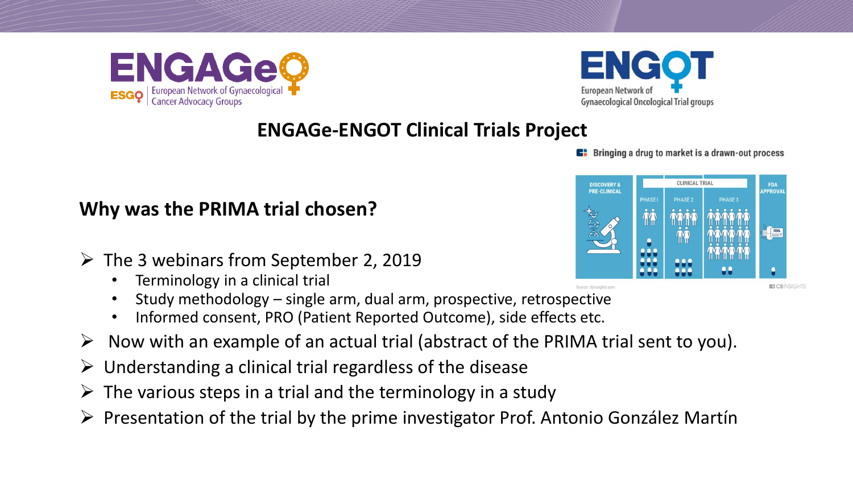



**E** Bringing a drug to market is a drawn-out process

#### **CLINICAL TRIA DISCOVERY 8 FDA PRE-CLINICAL APPROVA PHASE1 PHASE 2**

**E: CBINSIGHTS** 

**Why was the PRIMA trial chosen?**

- ➢ The 3 webinars from September 2, 2019
	- Terminology in a clinical trial
	- Study methodology single arm, dual arm, prospective, retrospective
	- Informed consent, PRO (Patient Reported Outcome), side effects etc.
- $\triangleright$  Now with an example of an actual trial (abstract of the PRIMA trial sent to you).
- $\triangleright$  Understanding a clinical trial regardless of the disease
- $\triangleright$  The various steps in a trial and the terminology in a study
- ➢ Presentation of the trial by the prime investigator Prof. Antonio González Martín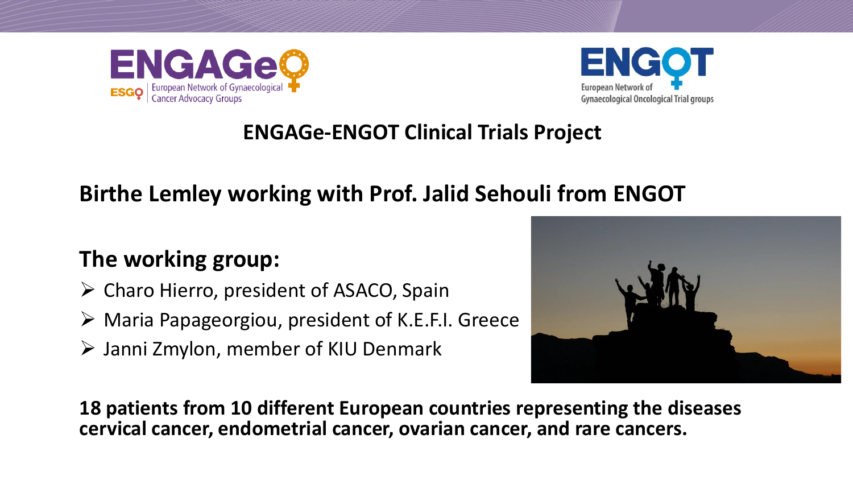



# **Birthe Lemley working with Prof. Jalid Sehouli from ENGOT**

# **The working group:**

- ➢ Charo Hierro, president of ASACO, Spain
- ➢ Maria Papageorgiou, president of K.E.F.I. Greece
- ➢ Janni Zmylon, member of KIU Denmark



**18 patients from 10 different European countries representing the diseases cervical cancer, endometrial cancer, ovarian cancer, and rare cancers.**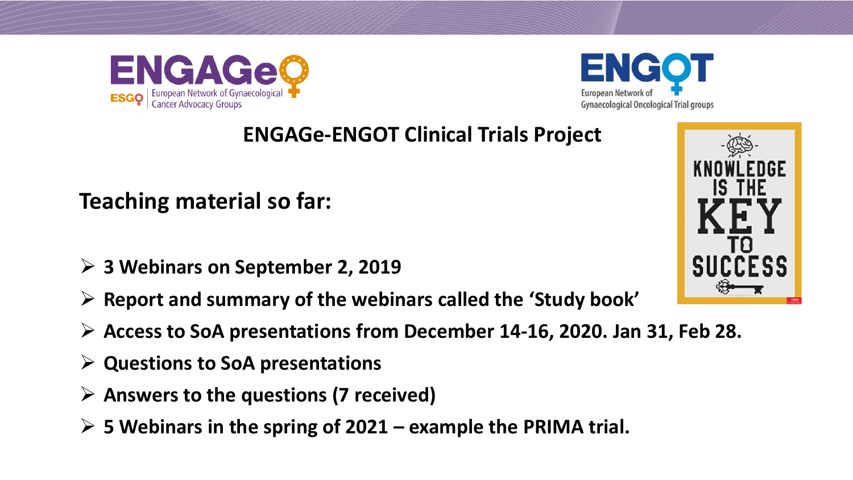



**Teaching material so far:**

- ➢ **3 Webinars on September 2, 2019**
- ➢ **Report and summary of the webinars called the 'Study book'**
- ➢ **Access to SoA presentations from December 14-16, 2020. Jan 31, Feb 28.**
- ➢ **Questions to SoA presentations**
- ➢ **Answers to the questions (7 received)**
- ➢ **5 Webinars in the spring of 2021 – example the PRIMA trial.**

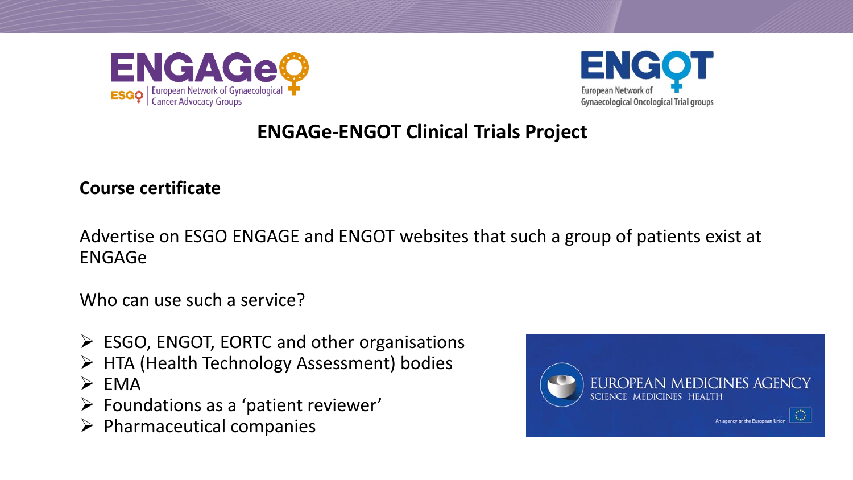



#### **Course certificate**

Advertise on ESGO ENGAGE and ENGOT websites that such a group of patients exist at ENGAGe

Who can use such a service?

- ➢ ESGO, ENGOT, EORTC and other organisations
- ➢ HTA (Health Technology Assessment) bodies
- $\triangleright$  EMA
- ➢ Foundations as a 'patient reviewer'
- $\triangleright$  Pharmaceutical companies